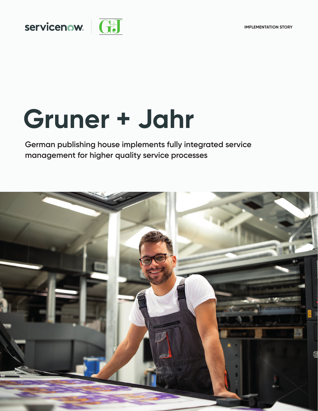

# **Gruner + Jahr**

**German publishing house implements fully integrated service management for higher quality service processes**

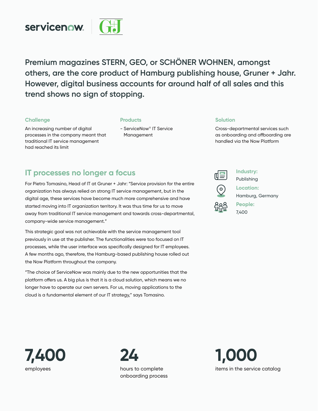

**Premium magazines STERN, GEO, or SCHÖNER WOHNEN, amongst others, are the core product of Hamburg publishing house, Gruner + Jahr. However, digital business accounts for around half of all sales and this trend shows no sign of stopping.**

#### **Challenge**

#### **Products**

An increasing number of digital processes in the company meant that traditional IT service management had reached its limit

- ServiceNow® IT Service Management

#### **Solution**

Cross-departmental services such as onboarding and offboarding are handled via the Now Platform

## **IT processes no longer a focus**

For Pietro Tomasino, Head of IT at Gruner + Jahr: "Service provision for the entire organization has always relied on strong IT service management, but in the digital age, these services have become much more comprehensive and have started moving into IT organization territory. It was thus time for us to move away from traditional IT service management and towards cross-departmental, company-wide service management."

This strategic goal was not achievable with the service management tool previously in use at the publisher. The functionalities were too focused on IT processes, while the user interface was specifically designed for IT employees. A few months ago, therefore, the Hamburg-based publishing house rolled out the Now Platform throughout the company.

"The choice of ServiceNow was mainly due to the new opportunities that the platform offers us. A big plus is that it is a cloud solution, which means we no longer have to operate our own servers. For us, moving applications to the cloud is a fundamental element of our IT strategy," says Tomasino.



**Industry:**

Publishing



**Location:**  Hamburg, Germany

**People:**  7,400





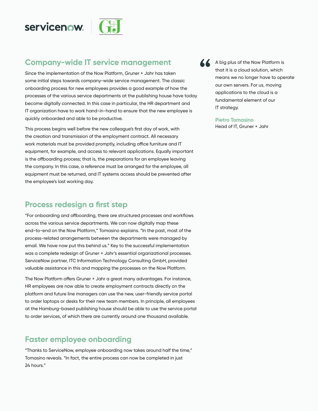

## **Company-wide IT service management**

Since the implementation of the Now Platform, Gruner + Jahr has taken some initial steps towards company-wide service management. The classic onboarding process for new employees provides a good example of how the processes of the various service departments at the publishing house have today become digitally connected. In this case in particular, the HR department and IT organization have to work hand-in-hand to ensure that the new employee is quickly onboarded and able to be productive.

This process begins well before the new colleague's first day of work, with the creation and transmission of the employment contract. All necessary work materials must be provided promptly, including office furniture and IT equipment, for example, and access to relevant applications. Equally important is the offboarding process; that is, the preparations for an employee leaving the company. In this case, a reference must be arranged for the employee, all equipment must be returned, and IT systems access should be prevented after the employee's last working day.

## **Process redesign a first step**

"For onboarding and offboarding, there are structured processes and workflows across the various service departments. We can now digitally map these end-to-end on the Now Platform," Tomasino explains. "In the past, most of the process-related arrangements between the departments were managed by email. We have now put this behind us." Key to the successful implementation was a complete redesign of Gruner + Jahr's essential organizational processes. ServiceNow partner, ITC Information Technology Consulting GmbH, provided valuable assistance in this and mapping the processes on the Now Platform.

The Now Platform offers Gruner + Jahr a great many advantages. For instance, HR employees are now able to create employment contracts directly on the platform and future line managers can use the new, user-friendly service portal to order laptops or desks for their new team members. In principle, all employees at the Hamburg-based publishing house should be able to use the service portal to order services, of which there are currently around one thousand available.

## **Faster employee onboarding**

"Thanks to ServiceNow, employee onboarding now takes around half the time," Tomasino reveals. "In fact, the entire process can now be completed in just 24 hours."

A A big plus of the Now Platform is that it is a cloud solution, which means we no longer have to operate our own servers. For us, moving applications to the cloud is a fundamental element of our

IT strategy.

#### **Pietro Tomasino**

Head of IT, Gruner + Jahr